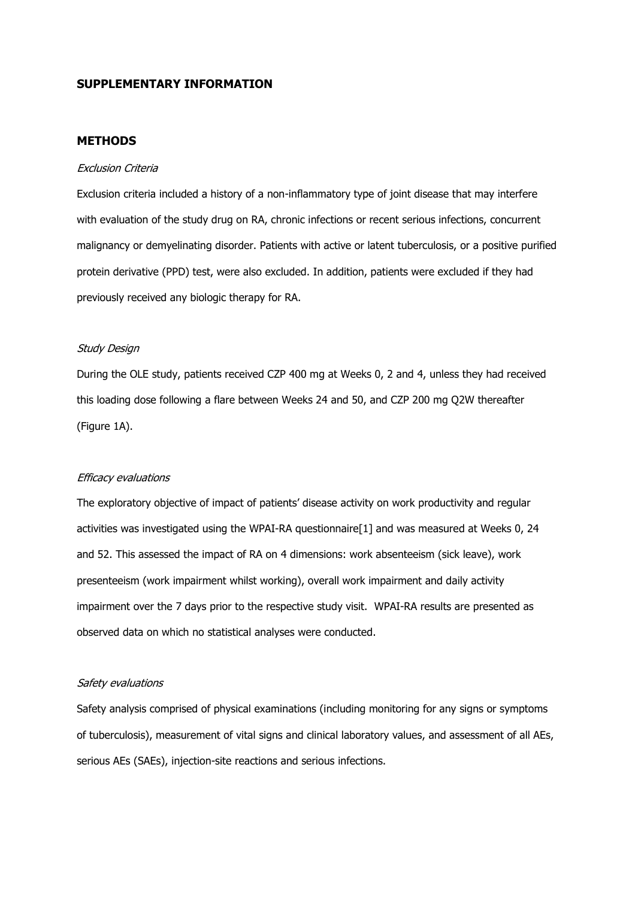## SUPPLEMENTARY INFORMATION

### **METHODS**

### Exclusion Criteria

Exclusion criteria included a history of a non-inflammatory type of joint disease that may interfere with evaluation of the study drug on RA, chronic infections or recent serious infections, concurrent malignancy or demyelinating disorder. Patients with active or latent tuberculosis, or a positive purified protein derivative (PPD) test, were also excluded. In addition, patients were excluded if they had previously received any biologic therapy for RA.

### Study Design

During the OLE study, patients received CZP 400 mg at Weeks 0, 2 and 4, unless they had received this loading dose following a flare between Weeks 24 and 50, and CZP 200 mg Q2W thereafter (Figure 1A).

#### Efficacy evaluations

The exploratory objective of impact of patients' disease activity on work productivity and regular activities was investigated using the WPAI-RA questionnaire[1] and was measured at Weeks 0, 24 and 52. This assessed the impact of RA on 4 dimensions: work absenteeism (sick leave), work presenteeism (work impairment whilst working), overall work impairment and daily activity impairment over the 7 days prior to the respective study visit. WPAI-RA results are presented as observed data on which no statistical analyses were conducted.

### Safety evaluations

Safety analysis comprised of physical examinations (including monitoring for any signs or symptoms of tuberculosis), measurement of vital signs and clinical laboratory values, and assessment of all AEs, serious AEs (SAEs), injection-site reactions and serious infections.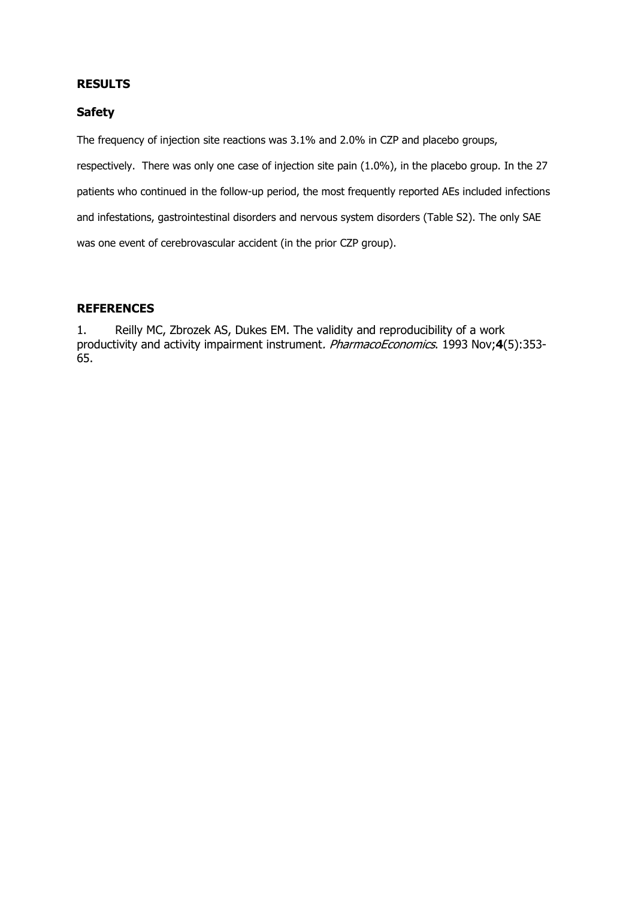## RESULTS

## Safety

The frequency of injection site reactions was 3.1% and 2.0% in CZP and placebo groups, respectively. There was only one case of injection site pain (1.0%), in the placebo group. In the 27 patients who continued in the follow-up period, the most frequently reported AEs included infections and infestations, gastrointestinal disorders and nervous system disorders (Table S2). The only SAE was one event of cerebrovascular accident (in the prior CZP group).

## **REFERENCES**

1. Reilly MC, Zbrozek AS, Dukes EM. The validity and reproducibility of a work productivity and activity impairment instrument. PharmacoEconomics. 1993 Nov;4(5):353-65.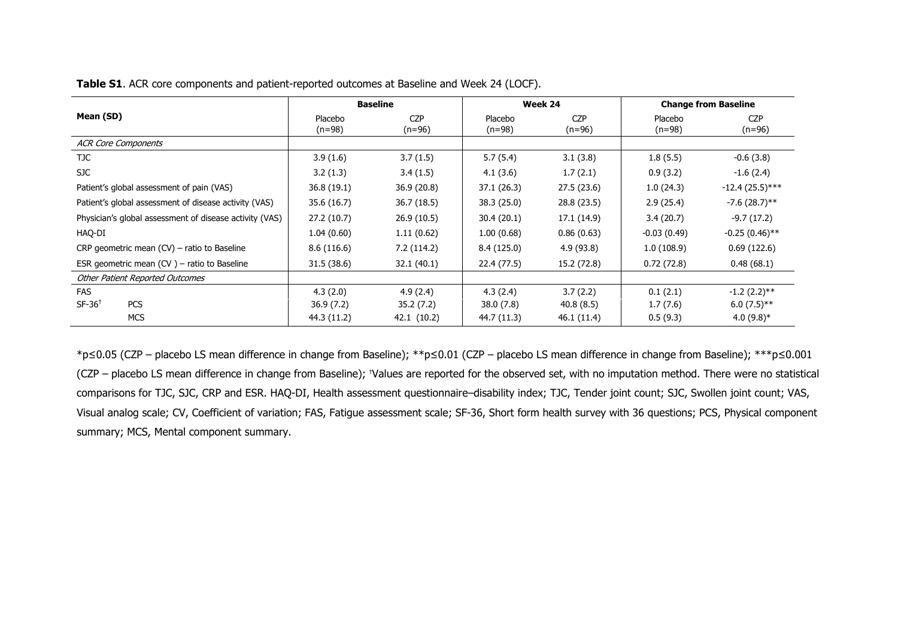Table S1. ACR core components and patient-reported outcomes at Baseline and Week 24 (LOCF).

|                                                         | <b>Baseline</b>     |                        | Week 24             |                        | <b>Change from Baseline</b> |                        |
|---------------------------------------------------------|---------------------|------------------------|---------------------|------------------------|-----------------------------|------------------------|
| Mean (SD)                                               | Placebo<br>$(n=98)$ | <b>CZP</b><br>$(n=96)$ | Placebo<br>$(n=98)$ | <b>CZP</b><br>$(n=96)$ | Placebo<br>$(n=98)$         | <b>CZP</b><br>$(n=96)$ |
| <b>ACR Core Components</b>                              |                     |                        |                     |                        |                             |                        |
| TJC.                                                    | 3.9(1.6)            | 3.7(1.5)               | 5.7(5.4)            | 3.1(3.8)               | 1.8(5.5)                    | $-0.6(3.8)$            |
| SJC                                                     | 3.2(1.3)            | 3.4(1.5)               | 4.1(3.6)            | 1.7(2.1)               | 0.9(3.2)                    | $-1.6(2.4)$            |
| Patient's global assessment of pain (VAS)               | 36.8 (19.1)         | 36.9 (20.8)            | 37.1 (26.3)         | 27.5(23.6)             | 1.0(24.3)                   | $-12.4(25.5)***$       |
| Patient's global assessment of disease activity (VAS)   | 35.6 (16.7)         | 36.7 (18.5)            | 38.3 (25.0)         | 28.8 (23.5)            | 2.9(25.4)                   | $-7.6(28.7)$ **        |
| Physician's global assessment of disease activity (VAS) | 27.2(10.7)          | 26.9(10.5)             | 30.4(20.1)          | 17.1 (14.9)            | 3.4(20.7)                   | $-9.7(17.2)$           |
| HAQ-DI                                                  | 1.04(0.60)          | 1.11(0.62)             | 1.00(0.68)          | 0.86(0.63)             | $-0.03(0.49)$               | $-0.25(0.46)$ **       |
| CRP geometric mean $(CV)$ – ratio to Baseline           | 8.6(116.6)          | 7.2(114.2)             | 8.4(125.0)          | 4.9(93.8)              | 1.0(108.9)                  | 0.69(122.6)            |
| ESR geometric mean $(CV)$ – ratio to Baseline           | 31.5 (38.6)         | 32.1 (40.1)            | 22.4 (77.5)         | 15.2 (72.8)            | 0.72(72.8)                  | 0.48(68.1)             |
| <b>Other Patient Reported Outcomes</b>                  |                     |                        |                     |                        |                             |                        |
| FAS                                                     | 4.3(2.0)            | 4.9(2.4)               | 4.3(2.4)            | 3.7(2.2)               | 0.1(2.1)                    | $-1.2(2.2)$ **         |
| $SF-36^+$<br><b>PCS</b>                                 | 36.9(7.2)           | 35.2 (7.2)             | 38.0(7.8)           | 40.8(8.5)              | 1.7(7.6)                    | $6.0(7.5)$ **          |
| <b>MCS</b>                                              | 44.3 (11.2)         | 42.1 (10.2)            | 44.7 (11.3)         | 46.1 (11.4)            | 0.5(9.3)                    | $4.0(9.8)*$            |

\*p≤0.05 (CZP – placebo LS mean difference in change from Baseline); \*\*p≤0.01 (CZP – placebo LS mean difference in change from Baseline); \*\*\*p≤0.001 (CZP – placebo LS mean difference in change from Baseline); †Values are reported for the observed set, with no imputation method. There were no statistical comparisons for TJC, SJC, CRP and ESR. HAQ-DI, Health assessment questionnaire–disability index; TJC, Tender joint count; SJC, Swollen joint count; VAS, Visual analog scale; CV, Coefficient of variation; FAS, Fatigue assessment scale; SF-36, Short form health survey with 36 questions; PCS, Physical component summary; MCS, Mental component summary.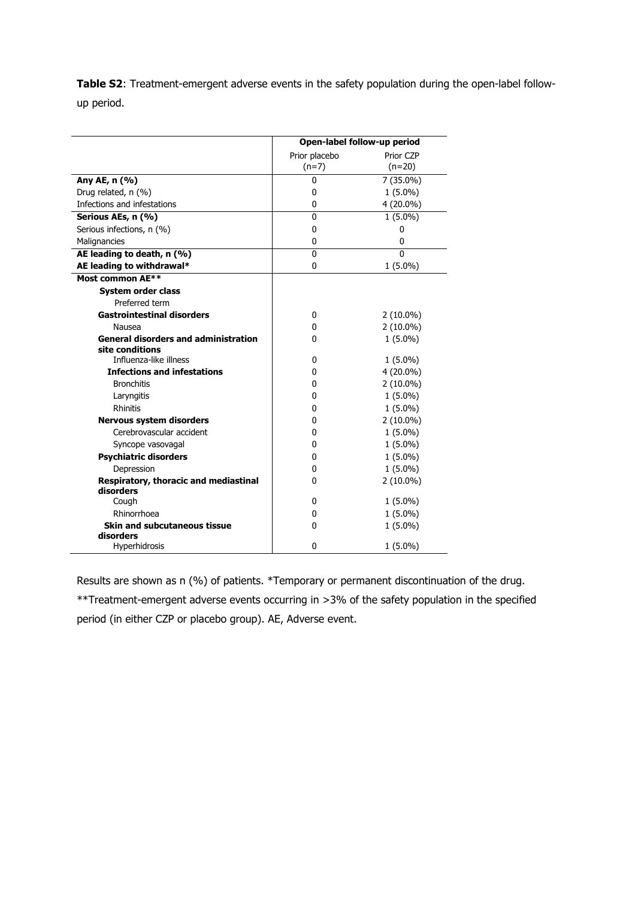Table S2: Treatment-emergent adverse events in the safety population during the open-label followup period.

|                                                    | Open-label follow-up period |             |  |
|----------------------------------------------------|-----------------------------|-------------|--|
|                                                    | Prior placebo               | Prior CZP   |  |
|                                                    | $(n=7)$                     | $(n=20)$    |  |
| Any AE, n (%)                                      | 0                           | 7 (35.0%)   |  |
| Drug related, n (%)                                | $\mathbf 0$                 | $1(5.0\%)$  |  |
| Infections and infestations                        | 0                           | 4 (20.0%)   |  |
| Serious AEs, n (%)                                 | $\mathbf{0}$                | $1(5.0\%)$  |  |
| Serious infections, n (%)                          | 0                           | 0           |  |
| Malignancies                                       | 0                           | 0           |  |
| AE leading to death, n (%)                         | $\mathbf{0}$                | $\Omega$    |  |
| AE leading to withdrawal*                          | 0                           | $1(5.0\%)$  |  |
| Most common AE**                                   |                             |             |  |
| <b>System order class</b>                          |                             |             |  |
| Preferred term                                     |                             |             |  |
| <b>Gastrointestinal disorders</b>                  | 0                           | $2(10.0\%)$ |  |
| Nausea                                             | 0                           | $2(10.0\%)$ |  |
| <b>General disorders and administration</b>        | 0                           | $1(5.0\%)$  |  |
| site conditions                                    |                             |             |  |
| Influenza-like illness                             | 0                           | $1(5.0\%)$  |  |
| <b>Infections and infestations</b>                 | 0                           | 4 (20.0%)   |  |
| <b>Bronchitis</b>                                  | 0                           | $2(10.0\%)$ |  |
| Laryngitis                                         | 0                           | $1(5.0\%)$  |  |
| <b>Rhinitis</b>                                    | 0                           | $1(5.0\%)$  |  |
| <b>Nervous system disorders</b>                    | 0                           | $2(10.0\%)$ |  |
| Cerebrovascular accident                           | 0                           | $1(5.0\%)$  |  |
| Syncope vasovagal                                  | 0                           | $1(5.0\%)$  |  |
| <b>Psychiatric disorders</b>                       | 0                           | $1(5.0\%)$  |  |
| Depression                                         | 0                           | $1(5.0\%)$  |  |
| Respiratory, thoracic and mediastinal<br>disorders | 0                           | $2(10.0\%)$ |  |
| Cough                                              | 0                           | $1(5.0\%)$  |  |
| Rhinorrhoea                                        | 0                           | $1(5.0\%)$  |  |
| <b>Skin and subcutaneous tissue</b>                | 0                           | $1(5.0\%)$  |  |
| disorders                                          |                             |             |  |
| Hyperhidrosis                                      | 0                           | $1(5.0\%)$  |  |

Results are shown as n (%) of patients. \*Temporary or permanent discontinuation of the drug. \*\*Treatment-emergent adverse events occurring in >3% of the safety population in the specified period (in either CZP or placebo group). AE, Adverse event.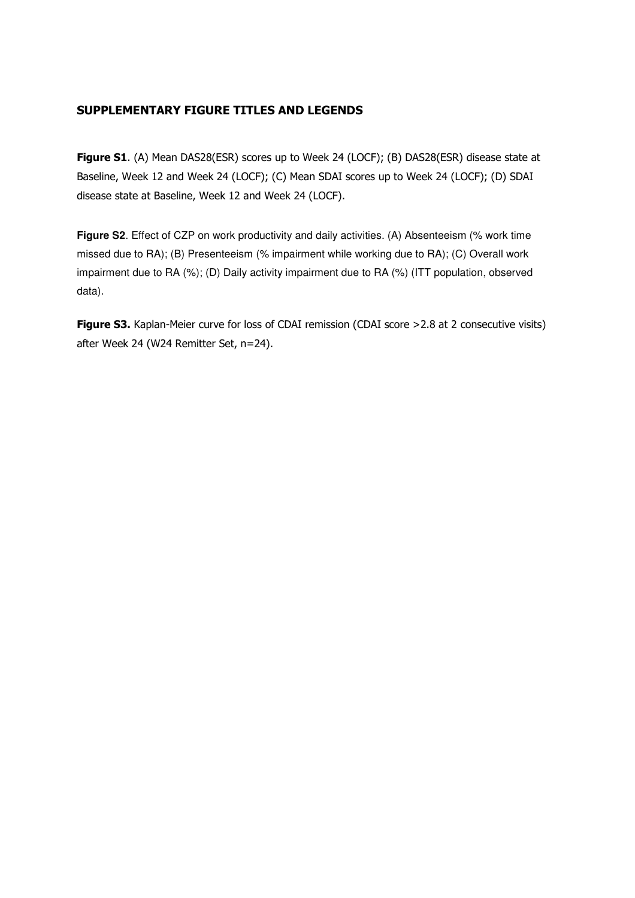# SUPPLEMENTARY FIGURE TITLES AND LEGENDS

Figure S1. (A) Mean DAS28(ESR) scores up to Week 24 (LOCF); (B) DAS28(ESR) disease state at Baseline, Week 12 and Week 24 (LOCF); (C) Mean SDAI scores up to Week 24 (LOCF); (D) SDAI disease state at Baseline, Week 12 and Week 24 (LOCF).

**Figure S2.** Effect of CZP on work productivity and daily activities. (A) Absenteeism (% work time missed due to RA); (B) Presenteeism (% impairment while working due to RA); (C) Overall work impairment due to RA (%); (D) Daily activity impairment due to RA (%) (ITT population, observed data).

Figure S3. Kaplan-Meier curve for loss of CDAI remission (CDAI score >2.8 at 2 consecutive visits) after Week 24 (W24 Remitter Set, n=24).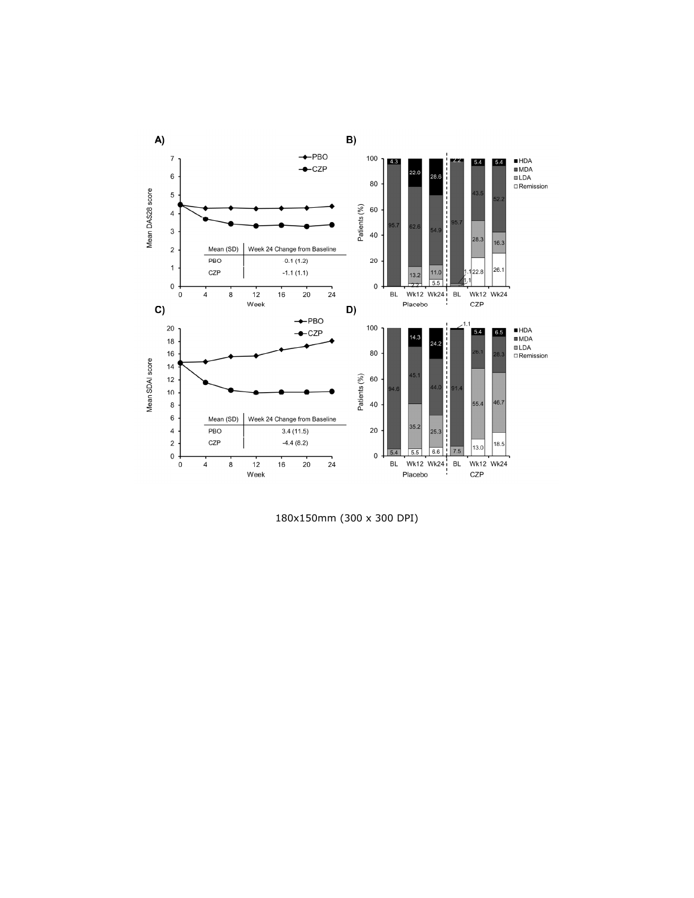

180x150mm (300 x 300 DPI)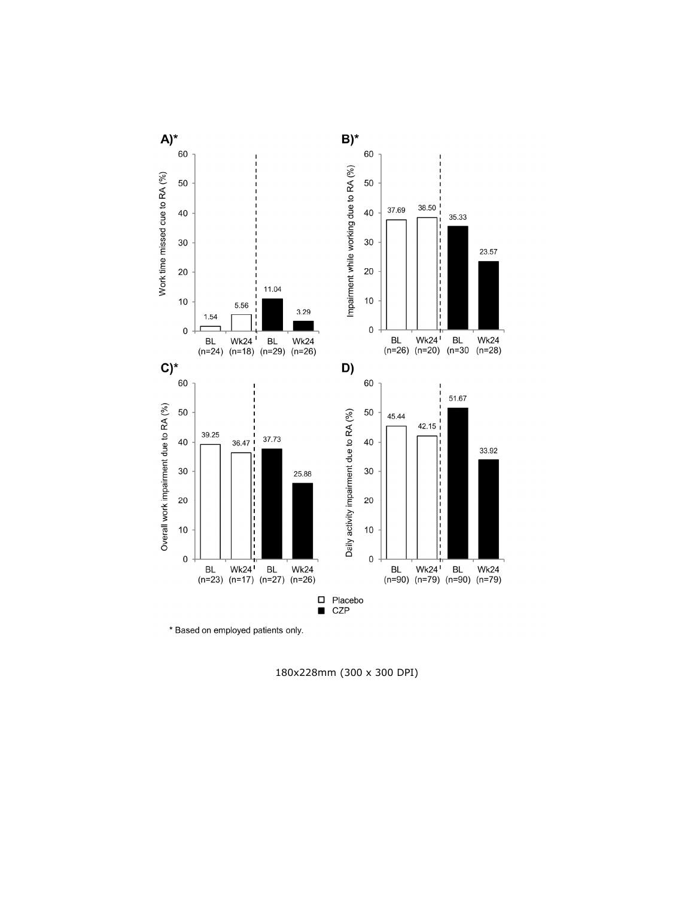

\* Based on employed patients only.

180x228mm (300 x 300 DPI)